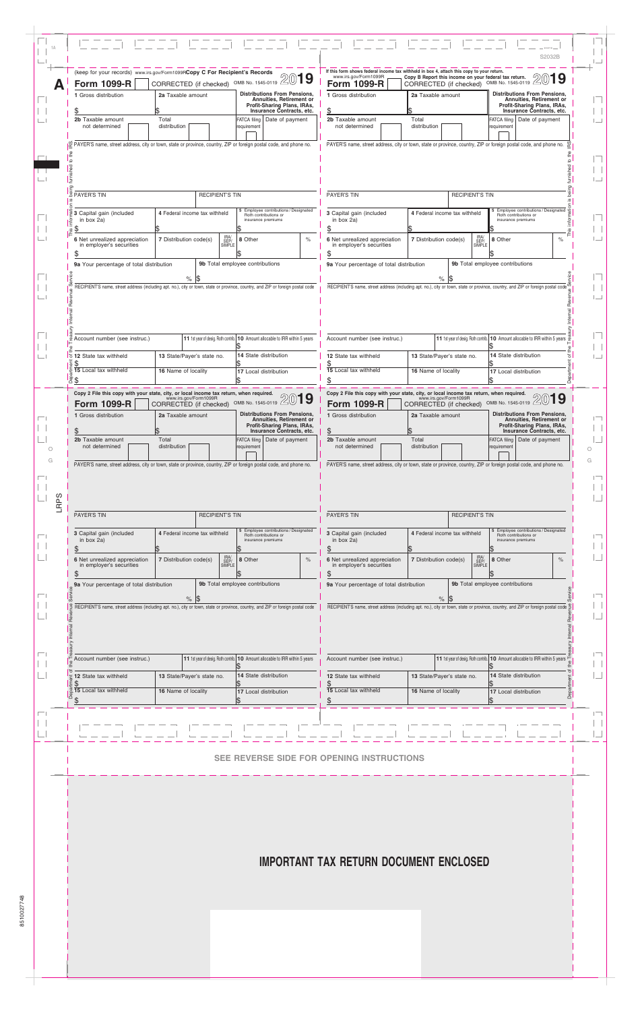|   | (keep for your records) www.irs.gov/Form1099RCopy C For Recipient's Records                                   |                                                         | 9                                                                                                                               | www.irs.gov/Form1099R                                     | If this form shows federal income tax withheld in box 4, attach this copy to your return.<br>Copy B Report this income on your federal tax return. | S2032B                                                                                                                                        |
|---|---------------------------------------------------------------------------------------------------------------|---------------------------------------------------------|---------------------------------------------------------------------------------------------------------------------------------|-----------------------------------------------------------|----------------------------------------------------------------------------------------------------------------------------------------------------|-----------------------------------------------------------------------------------------------------------------------------------------------|
|   | <b>Form 1099-R</b><br>1 Gross distribution                                                                    | CORRECTED (if checked)<br>2a Taxable amount             | OMB No. 1545-0119<br><b>Distributions From Pensions,</b><br>Annuities, Retirement or                                            | <b>Form 1099-R</b><br>1 Gross distribution                | CORRECTED (if checked) OMB No. 1545-0119<br>2a Taxable amount                                                                                      | Ľ<br><b>Distributions From Pensions,</b><br>Annuities, Retirement or                                                                          |
|   |                                                                                                               |                                                         | Profit-Sharing Plans, IRAs,<br>Insurance Contracts, etc.                                                                        |                                                           |                                                                                                                                                    | Profit-Sharing Plans, IRAs,<br>Insurance Contracts, etc.                                                                                      |
|   | 2b Taxable amount<br>not determined                                                                           | Total<br>distribution                                   | FATCA filing<br>Date of payment<br>requirement                                                                                  | 2b Taxable amount<br>not determined                       | Total<br>distribution                                                                                                                              | FATCA filing<br>Date of payment<br>requirement                                                                                                |
|   |                                                                                                               |                                                         | CP PAYER'S name, street address, city or town, state or province, country, ZIP or foreign postal code, and phone no.            |                                                           |                                                                                                                                                    | PAYER'S name, street address, city or town, state or province, country, ZIP or foreign postal code, and phone no.                             |
|   |                                                                                                               |                                                         |                                                                                                                                 |                                                           |                                                                                                                                                    |                                                                                                                                               |
|   | <b>&amp; PAYER'S TIN</b>                                                                                      | <b>RECIPIENT'S TIN</b>                                  |                                                                                                                                 | <b>PAYER'S TIN</b>                                        | <b>RECIPIENT'S TIN</b>                                                                                                                             |                                                                                                                                               |
|   | g 3 Capital gain (included<br>in box 2a)                                                                      | 4 Federal income tax withheld                           | 5 Employee contributions / Designated<br>Roth contributions or<br>insurance premiums                                            | 3 Capital gain (included<br>in box 2a)                    | 4 Federal income tax withheld                                                                                                                      | 5 Employee contributions / Designated and<br>Roth contributions or<br>insurance premiums                                                      |
|   | ۱ē<br>S                                                                                                       |                                                         |                                                                                                                                 |                                                           |                                                                                                                                                    |                                                                                                                                               |
|   | 6 Net unrealized appreciation<br>in employer's securities                                                     | 7 Distribution code(s)                                  | IRA/<br>SEP/<br>SIMPLE<br>8 Other<br>$\%$                                                                                       | 6 Net unrealized appreciation<br>in employer's securities | IRA/<br>SEP/<br>SIMPLE<br>7 Distribution code(s)                                                                                                   | 8 Other<br>$\frac{9}{6}$                                                                                                                      |
|   | 9a Your percentage of total distribution                                                                      |                                                         | 9b Total employee contributions                                                                                                 | 9a Your percentage of total distribution                  |                                                                                                                                                    | 9b Total employee contributions                                                                                                               |
|   |                                                                                                               | 1\$<br>%                                                | RECIPIENT'S name, street address (including apt. no.), city or town, state or province, country, and ZIP or foreign postal code |                                                           | \$<br>$\%$                                                                                                                                         | RECIPIENT'S name, street address (including apt. no.), city or town, state or province, country, and ZIP or foreign postal code $\Omega$      |
|   |                                                                                                               |                                                         |                                                                                                                                 |                                                           |                                                                                                                                                    |                                                                                                                                               |
|   |                                                                                                               |                                                         |                                                                                                                                 |                                                           |                                                                                                                                                    |                                                                                                                                               |
|   | Account number (see instruc.)                                                                                 | 11 1st year of desig. Roth contrib.                     | 10 Amount allocable to IRR within 5 years                                                                                       | Account number (see instruc.)                             | 11 1st year of desig. Roth contrib                                                                                                                 | 10 Amount allocable to IRR within 5 years                                                                                                     |
|   | 'ড 12 State tax withheld                                                                                      | 13 State/Payer's state no.                              | 14 State distribution                                                                                                           | 12 State tax withheld                                     | 13 State/Payer's state no.                                                                                                                         | 14 State distribution                                                                                                                         |
|   | \$<br>15 Local tax withheld                                                                                   | 16 Name of locality                                     | 17 Local distribution                                                                                                           | 15 Local tax withheld                                     | 16 Name of locality                                                                                                                                | 17 Local distribution                                                                                                                         |
|   | ≝ \$                                                                                                          |                                                         |                                                                                                                                 |                                                           |                                                                                                                                                    |                                                                                                                                               |
|   | Copy 2 File this copy with your state, city, or local income tax return, when required.<br><b>Form 1099-R</b> | www.irs.gov/Form1099R<br>CORRECTED (if checked)         | OMB No. 1545-0119                                                                                                               | <b>Form 1099-R</b>                                        | Copy 2 File this copy with your state, city, or local income tax return, when required.<br>www.irs.gov/Form1099R<br>CORRECTED (if checked)         | 9<br>OMB No. 1545-0119                                                                                                                        |
|   | 1 Gross distribution                                                                                          | 2a Taxable amount                                       | <b>Distributions From Pensions,</b><br>Annuities, Retirement or                                                                 | 1 Gross distribution                                      | 2a Taxable amount                                                                                                                                  | <b>Distributions From Pensions,</b><br>Annuities, Retirement or                                                                               |
|   | 2b Taxable amount                                                                                             | Total                                                   | Profit-Sharing Plans, IRAs,<br>Insurance Contracts, etc.<br>FATCA filing   Date of payment                                      | 2b Taxable amount                                         | Total                                                                                                                                              | Profit-Sharing Plans, IRAs,<br>Insurance Contracts, etc.<br>FATCA filing   Date of payment                                                    |
|   | not determined                                                                                                | distribution $\sqrt{\ }$                                | equirement                                                                                                                      | not determined                                            | distribution                                                                                                                                       | requirement                                                                                                                                   |
|   |                                                                                                               |                                                         | PAYER'S name, street address, city or town, state or province, country, ZIP or foreign postal code, and phone no.               |                                                           |                                                                                                                                                    | PAYER'S name, street address, city or town, state or province, country, ZIP or foreign postal code, and phone no.                             |
|   | <b>PAYER'S TIN</b><br>3 Capital gain (included                                                                | <b>RECIPIENT'S TIN</b><br>4 Federal income tax withheld | 5 Employee contributions / Designated<br>Roth contributions or                                                                  | <b>PAYER'S TIN</b><br>3 Capital gain (included            | <b>RECIPIENT'S TIN</b><br>4 Federal income tax withheld                                                                                            | 5 Employee contributions / Designated<br>Roth contributions or                                                                                |
|   | in box $2a$ )                                                                                                 |                                                         | insurance premiums                                                                                                              | in box 2a)                                                |                                                                                                                                                    | insurance premiums                                                                                                                            |
|   | 6 Net unrealized appreciation<br>in employer's securities                                                     | 7 Distribution code(s)                                  | IRA/<br>SEP/<br>SIMPLE<br>8 Other<br>$\%$                                                                                       | 6 Net unrealized appreciation<br>in employer's securities | IRA/<br>SEP/<br>SIMPLE<br>7 Distribution code(s)                                                                                                   | 8 Other<br>%                                                                                                                                  |
|   | 9a Your percentage of total distribution                                                                      |                                                         | 9b Total employee contributions                                                                                                 | £<br>9a Your percentage of total distribution             |                                                                                                                                                    | 9b Total employee contributions                                                                                                               |
|   |                                                                                                               | 1\$<br>$\%$                                             |                                                                                                                                 |                                                           | \$<br>$\%$                                                                                                                                         |                                                                                                                                               |
|   |                                                                                                               |                                                         | FECIPIENT'S name, street address (including apt. no.), city or town, state or province, country, and ZIP or foreign postal code |                                                           |                                                                                                                                                    | RECIPIENT'S name, street address (including apt. no.), city or town, state or province, country, and ZIP or foreign postal code $\frac{9}{8}$ |
|   | Account number (see instruc.)                                                                                 | 11 1st year of desig. Roth contrib.                     | 10 Amount allocable to IRR within 5 years                                                                                       | Account number (see instruc.)                             | 11 1st year of desig. Roth contrib                                                                                                                 | 10 Amount allocable to IRR within 5 years $\overline{\vdash}$                                                                                 |
| ਨ | 12 State tax withheld                                                                                         | 13 State/Payer's state no.                              | 14 State distribution                                                                                                           | 12 State tax withheld                                     | 13 State/Payer's state no.                                                                                                                         | 14 State distribution                                                                                                                         |
|   | S<br>15 Local tax withheld                                                                                    | 16 Name of locality                                     | 17 Local distribution                                                                                                           | S<br>15 Local tax withheld                                | 16 Name of locality                                                                                                                                | 17 Local distribution                                                                                                                         |
|   |                                                                                                               |                                                         |                                                                                                                                 |                                                           |                                                                                                                                                    |                                                                                                                                               |
|   |                                                                                                               |                                                         |                                                                                                                                 |                                                           |                                                                                                                                                    |                                                                                                                                               |
|   |                                                                                                               |                                                         |                                                                                                                                 |                                                           |                                                                                                                                                    |                                                                                                                                               |
|   |                                                                                                               |                                                         | SEE REVERSE SIDE FOR OPENING INSTRUCTIONS                                                                                       |                                                           |                                                                                                                                                    |                                                                                                                                               |
|   |                                                                                                               |                                                         |                                                                                                                                 |                                                           |                                                                                                                                                    |                                                                                                                                               |
|   |                                                                                                               |                                                         |                                                                                                                                 |                                                           |                                                                                                                                                    |                                                                                                                                               |
|   |                                                                                                               |                                                         |                                                                                                                                 |                                                           |                                                                                                                                                    |                                                                                                                                               |
|   |                                                                                                               |                                                         |                                                                                                                                 |                                                           |                                                                                                                                                    |                                                                                                                                               |
|   |                                                                                                               |                                                         |                                                                                                                                 |                                                           |                                                                                                                                                    |                                                                                                                                               |
|   |                                                                                                               |                                                         |                                                                                                                                 | <b>IMPORTANT TAX RETURN DOCUMENT ENCLOSED</b>             |                                                                                                                                                    |                                                                                                                                               |
|   |                                                                                                               |                                                         |                                                                                                                                 |                                                           |                                                                                                                                                    |                                                                                                                                               |
|   |                                                                                                               |                                                         |                                                                                                                                 |                                                           |                                                                                                                                                    |                                                                                                                                               |
|   |                                                                                                               |                                                         |                                                                                                                                 |                                                           |                                                                                                                                                    |                                                                                                                                               |
|   |                                                                                                               |                                                         |                                                                                                                                 |                                                           |                                                                                                                                                    |                                                                                                                                               |
|   |                                                                                                               |                                                         |                                                                                                                                 |                                                           |                                                                                                                                                    |                                                                                                                                               |

8510027748